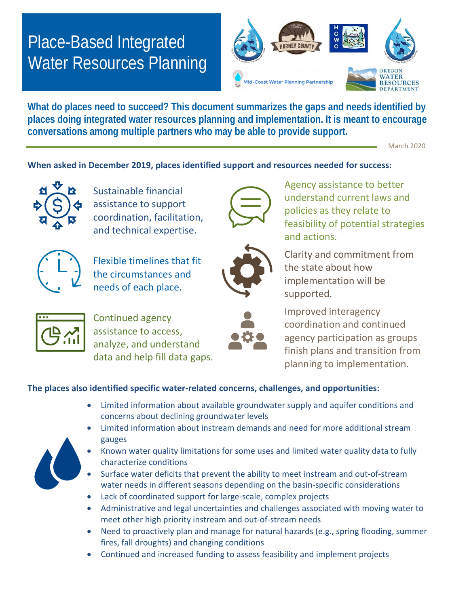## Place-Based Integrated Water Resources Planning



**What do places need to succeed? This document summarizes the gaps and needs identified by places doing integrated water resources planning and implementation. It is meant to encourage conversations among multiple partners who may be able to provide support.**

March 2020

## **When asked in December 2019, places identified support and resources needed for success:**



Sustainable financial assistance to support coordination, facilitation, and technical expertise.



Flexible timelines that fit the circumstances and needs of each place.





understand current laws and policies as they relate to feasibility of potential strategies and actions.

Agency assistance to better





Continued agency assistance to access, analyze, and understand data and help fill data gaps.



Improved interagency coordination and continued agency participation as groups finish plans and transition from planning to implementation.

## **The places also identified specific water-related concerns, challenges, and opportunities:**

- Limited information about available groundwater supply and aquifer conditions and concerns about declining groundwater levels
- Limited information about instream demands and need for more additional stream gauges
- Known water quality limitations for some uses and limited water quality data to fully characterize conditions
- Surface water deficits that prevent the ability to meet instream and out-of-stream water needs in different seasons depending on the basin-specific considerations
- Lack of coordinated support for large-scale, complex projects
- Administrative and legal uncertainties and challenges associated with moving water to meet other high priority instream and out-of-stream needs
- Need to proactively plan and manage for natural hazards (e.g., spring flooding, summer fires, fall droughts) and changing conditions
- Continued and increased funding to assess feasibility and implement projects